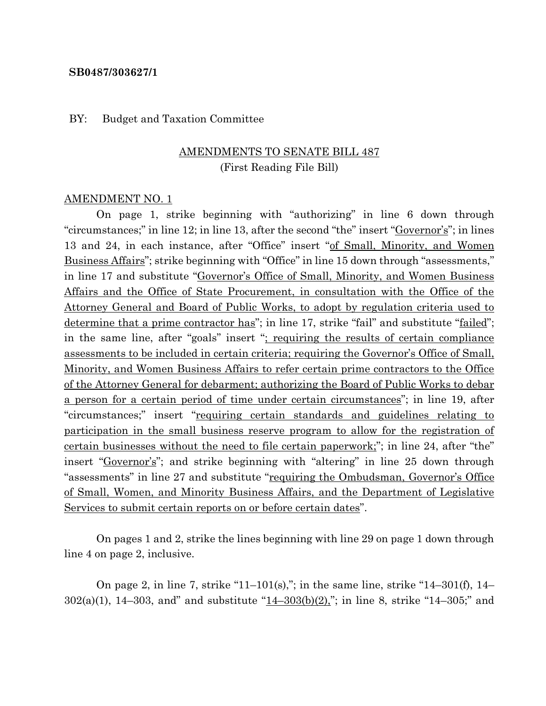#### **SB0487/303627/1**

#### BY: Budget and Taxation Committee

### AMENDMENTS TO SENATE BILL 487 (First Reading File Bill)

#### AMENDMENT NO. 1

On page 1, strike beginning with "authorizing" in line 6 down through "circumstances;" in line 12; in line 13, after the second "the" insert "Governor's"; in lines 13 and 24, in each instance, after "Office" insert "of Small, Minority, and Women Business Affairs"; strike beginning with "Office" in line 15 down through "assessments," in line 17 and substitute "Governor's Office of Small, Minority, and Women Business Affairs and the Office of State Procurement, in consultation with the Office of the Attorney General and Board of Public Works, to adopt by regulation criteria used to determine that a prime contractor has"; in line 17, strike "fail" and substitute "failed"; in the same line, after "goals" insert "; requiring the results of certain compliance assessments to be included in certain criteria; requiring the Governor's Office of Small, Minority, and Women Business Affairs to refer certain prime contractors to the Office of the Attorney General for debarment; authorizing the Board of Public Works to debar a person for a certain period of time under certain circumstances"; in line 19, after "circumstances;" insert "requiring certain standards and guidelines relating to participation in the small business reserve program to allow for the registration of certain businesses without the need to file certain paperwork;"; in line 24, after "the" insert "Governor's"; and strike beginning with "altering" in line 25 down through "assessments" in line 27 and substitute "requiring the Ombudsman, Governor's Office of Small, Women, and Minority Business Affairs, and the Department of Legislative Services to submit certain reports on or before certain dates".

On pages 1 and 2, strike the lines beginning with line 29 on page 1 down through line 4 on page 2, inclusive.

On page 2, in line 7, strike "11–101(s),"; in the same line, strike "14–301(f), 14– 302(a)(1), 14–303, and" and substitute " $14-303(b)(2)$ "; in line 8, strike "14–305;" and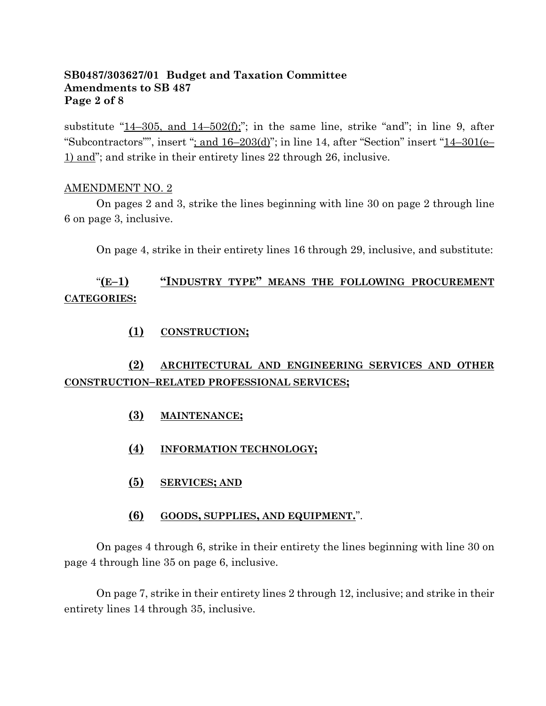### **SB0487/303627/01 Budget and Taxation Committee Amendments to SB 487 Page 2 of 8**

substitute "14–305, and  $14-502(f)$ ;"; in the same line, strike "and"; in line 9, after "Subcontractors"", insert "; and  $16-203(d)$ "; in line 14, after "Section" insert " $14-301(e-$ 1) and"; and strike in their entirety lines 22 through 26, inclusive.

#### AMENDMENT NO. 2

On pages 2 and 3, strike the lines beginning with line 30 on page 2 through line 6 on page 3, inclusive.

On page 4, strike in their entirety lines 16 through 29, inclusive, and substitute:

## "**(E–1) "INDUSTRY TYPE" MEANS THE FOLLOWING PROCUREMENT CATEGORIES:**

### **(1) CONSTRUCTION;**

## **(2) ARCHITECTURAL AND ENGINEERING SERVICES AND OTHER CONSTRUCTION–RELATED PROFESSIONAL SERVICES;**

- **(3) MAINTENANCE;**
- **(4) INFORMATION TECHNOLOGY;**
- **(5) SERVICES; AND**

### **(6) GOODS, SUPPLIES, AND EQUIPMENT.**".

On pages 4 through 6, strike in their entirety the lines beginning with line 30 on page 4 through line 35 on page 6, inclusive.

On page 7, strike in their entirety lines 2 through 12, inclusive; and strike in their entirety lines 14 through 35, inclusive.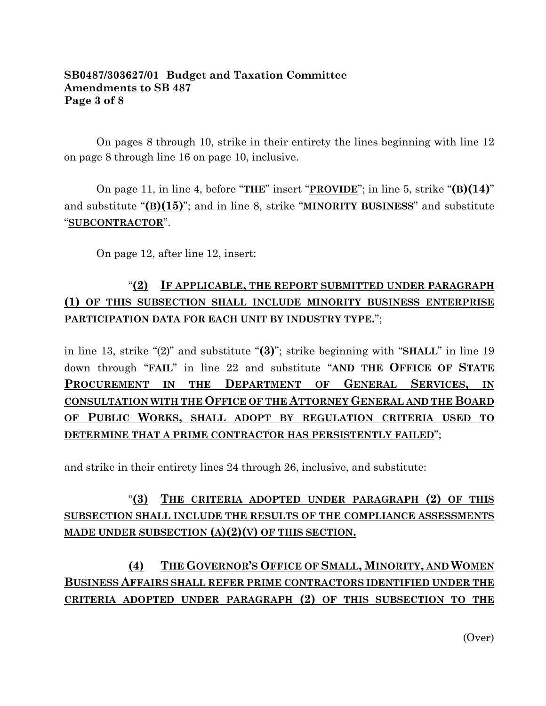### **SB0487/303627/01 Budget and Taxation Committee Amendments to SB 487 Page 3 of 8**

On pages 8 through 10, strike in their entirety the lines beginning with line 12 on page 8 through line 16 on page 10, inclusive.

On page 11, in line 4, before "**THE**" insert "**PROVIDE**"; in line 5, strike "**(B)(14)**" and substitute "**(B)(15)**"; and in line 8, strike "**MINORITY BUSINESS**" and substitute "**SUBCONTRACTOR**".

On page 12, after line 12, insert:

## "**(2) IF APPLICABLE, THE REPORT SUBMITTED UNDER PARAGRAPH (1) OF THIS SUBSECTION SHALL INCLUDE MINORITY BUSINESS ENTERPRISE PARTICIPATION DATA FOR EACH UNIT BY INDUSTRY TYPE.**";

in line 13, strike "(2)" and substitute "**(3)**"; strike beginning with "**SHALL**" in line 19 down through "**FAIL**" in line 22 and substitute "**AND THE OFFICE OF STATE PROCUREMENT IN THE DEPARTMENT OF GENERAL SERVICES, IN CONSULTATION WITH THE OFFICE OF THE ATTORNEY GENERAL AND THE BOARD OF PUBLIC WORKS, SHALL ADOPT BY REGULATION CRITERIA USED TO DETERMINE THAT A PRIME CONTRACTOR HAS PERSISTENTLY FAILED**";

and strike in their entirety lines 24 through 26, inclusive, and substitute:

# "**(3) THE CRITERIA ADOPTED UNDER PARAGRAPH (2) OF THIS SUBSECTION SHALL INCLUDE THE RESULTS OF THE COMPLIANCE ASSESSMENTS MADE UNDER SUBSECTION (A)(2)(V) OF THIS SECTION.**

# **(4) THE GOVERNOR'S OFFICE OF SMALL, MINORITY, AND WOMEN BUSINESS AFFAIRS SHALL REFER PRIME CONTRACTORS IDENTIFIED UNDER THE CRITERIA ADOPTED UNDER PARAGRAPH (2) OF THIS SUBSECTION TO THE**

(Over)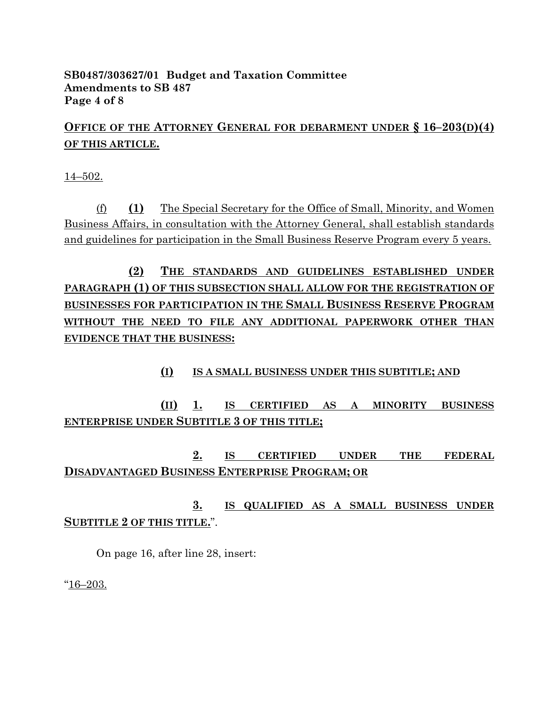### **SB0487/303627/01 Budget and Taxation Committee Amendments to SB 487 Page 4 of 8**

# **OFFICE OF THE ATTORNEY GENERAL FOR DEBARMENT UNDER § 16–203(D)(4) OF THIS ARTICLE.**

14–502.

(f) **(1)** The Special Secretary for the Office of Small, Minority, and Women Business Affairs, in consultation with the Attorney General, shall establish standards and guidelines for participation in the Small Business Reserve Program every 5 years.

**(2) THE STANDARDS AND GUIDELINES ESTABLISHED UNDER PARAGRAPH (1) OF THIS SUBSECTION SHALL ALLOW FOR THE REGISTRATION OF BUSINESSES FOR PARTICIPATION IN THE SMALL BUSINESS RESERVE PROGRAM WITHOUT THE NEED TO FILE ANY ADDITIONAL PAPERWORK OTHER THAN EVIDENCE THAT THE BUSINESS:**

### **(I) IS A SMALL BUSINESS UNDER THIS SUBTITLE; AND**

**(II) 1. IS CERTIFIED AS A MINORITY BUSINESS ENTERPRISE UNDER SUBTITLE 3 OF THIS TITLE;**

**2. IS CERTIFIED UNDER THE FEDERAL DISADVANTAGED BUSINESS ENTERPRISE PROGRAM; OR**

**3. IS QUALIFIED AS A SMALL BUSINESS UNDER SUBTITLE 2 OF THIS TITLE.**".

On page 16, after line 28, insert:

"16–203.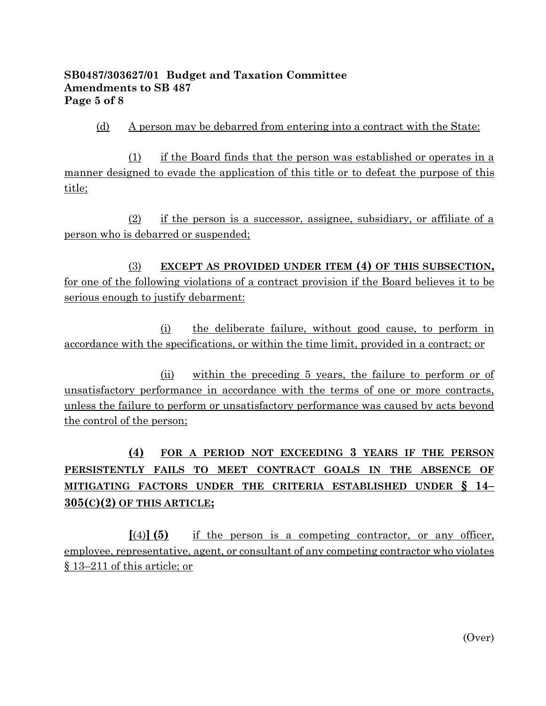### **SB0487/303627/01 Budget and Taxation Committee Amendments to SB 487 Page 5 of 8**

### (d) A person may be debarred from entering into a contract with the State:

(1) if the Board finds that the person was established or operates in a manner designed to evade the application of this title or to defeat the purpose of this title;

(2) if the person is a successor, assignee, subsidiary, or affiliate of a person who is debarred or suspended;

(3) **EXCEPT AS PROVIDED UNDER ITEM (4) OF THIS SUBSECTION,** for one of the following violations of a contract provision if the Board believes it to be serious enough to justify debarment:

(i) the deliberate failure, without good cause, to perform in accordance with the specifications, or within the time limit, provided in a contract; or

(ii) within the preceding 5 years, the failure to perform or of unsatisfactory performance in accordance with the terms of one or more contracts, unless the failure to perform or unsatisfactory performance was caused by acts beyond the control of the person;

# **(4) FOR A PERIOD NOT EXCEEDING 3 YEARS IF THE PERSON PERSISTENTLY FAILS TO MEET CONTRACT GOALS IN THE ABSENCE OF MITIGATING FACTORS UNDER THE CRITERIA ESTABLISHED UNDER § 14– 305(C)(2) OF THIS ARTICLE;**

**[**(4)**] (5)** if the person is a competing contractor, or any officer, employee, representative, agent, or consultant of any competing contractor who violates § 13–211 of this article; or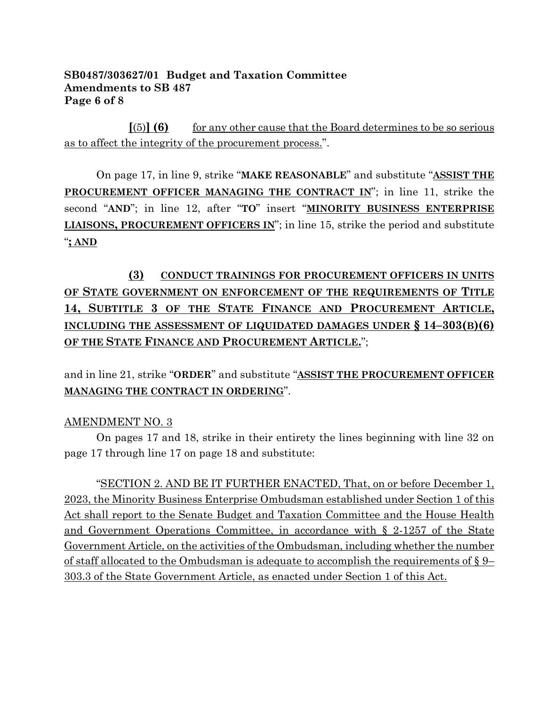### **SB0487/303627/01 Budget and Taxation Committee Amendments to SB 487 Page 6 of 8**

 $[(5)]$  **(6)** for any other cause that the Board determines to be so serious as to affect the integrity of the procurement process.".

On page 17, in line 9, strike "**MAKE REASONABLE**" and substitute "**ASSIST THE PROCUREMENT OFFICER MANAGING THE CONTRACT IN**"; in line 11, strike the second "**AND**"; in line 12, after "**TO**" insert "**MINORITY BUSINESS ENTERPRISE LIAISONS, PROCUREMENT OFFICERS IN**"; in line 15, strike the period and substitute "**; AND**

# **(3) CONDUCT TRAININGS FOR PROCUREMENT OFFICERS IN UNITS OF STATE GOVERNMENT ON ENFORCEMENT OF THE REQUIREMENTS OF TITLE 14, SUBTITLE 3 OF THE STATE FINANCE AND PROCUREMENT ARTICLE, INCLUDING THE ASSESSMENT OF LIQUIDATED DAMAGES UNDER § 14–303(B)(6) OF THE STATE FINANCE AND PROCUREMENT ARTICLE.**";

and in line 21, strike "**ORDER**" and substitute "**ASSIST THE PROCUREMENT OFFICER MANAGING THE CONTRACT IN ORDERING**".

### AMENDMENT NO. 3

On pages 17 and 18, strike in their entirety the lines beginning with line 32 on page 17 through line 17 on page 18 and substitute:

"SECTION 2. AND BE IT FURTHER ENACTED, That, on or before December 1, 2023, the Minority Business Enterprise Ombudsman established under Section 1 of this Act shall report to the Senate Budget and Taxation Committee and the House Health and Government Operations Committee, in accordance with § 2-1257 of the State Government Article, on the activities of the Ombudsman, including whether the number of staff allocated to the Ombudsman is adequate to accomplish the requirements of  $\S$  9– 303.3 of the State Government Article, as enacted under Section 1 of this Act.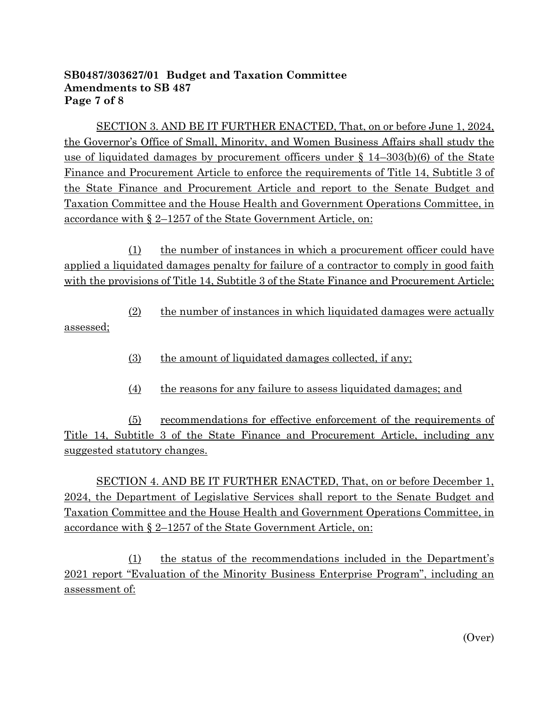### **SB0487/303627/01 Budget and Taxation Committee Amendments to SB 487 Page 7 of 8**

SECTION 3. AND BE IT FURTHER ENACTED, That, on or before June 1, 2024, the Governor's Office of Small, Minority, and Women Business Affairs shall study the use of liquidated damages by procurement officers under § 14–303(b)(6) of the State Finance and Procurement Article to enforce the requirements of Title 14, Subtitle 3 of the State Finance and Procurement Article and report to the Senate Budget and Taxation Committee and the House Health and Government Operations Committee, in accordance with § 2–1257 of the State Government Article, on:

(1) the number of instances in which a procurement officer could have applied a liquidated damages penalty for failure of a contractor to comply in good faith with the provisions of Title 14, Subtitle 3 of the State Finance and Procurement Article;

(2) the number of instances in which liquidated damages were actually assessed;

- (3) the amount of liquidated damages collected, if any;
- (4) the reasons for any failure to assess liquidated damages; and

(5) recommendations for effective enforcement of the requirements of Title 14, Subtitle 3 of the State Finance and Procurement Article, including any suggested statutory changes.

SECTION 4. AND BE IT FURTHER ENACTED, That, on or before December 1, 2024, the Department of Legislative Services shall report to the Senate Budget and Taxation Committee and the House Health and Government Operations Committee, in accordance with § 2–1257 of the State Government Article, on:

(1) the status of the recommendations included in the Department's 2021 report "Evaluation of the Minority Business Enterprise Program", including an assessment of: